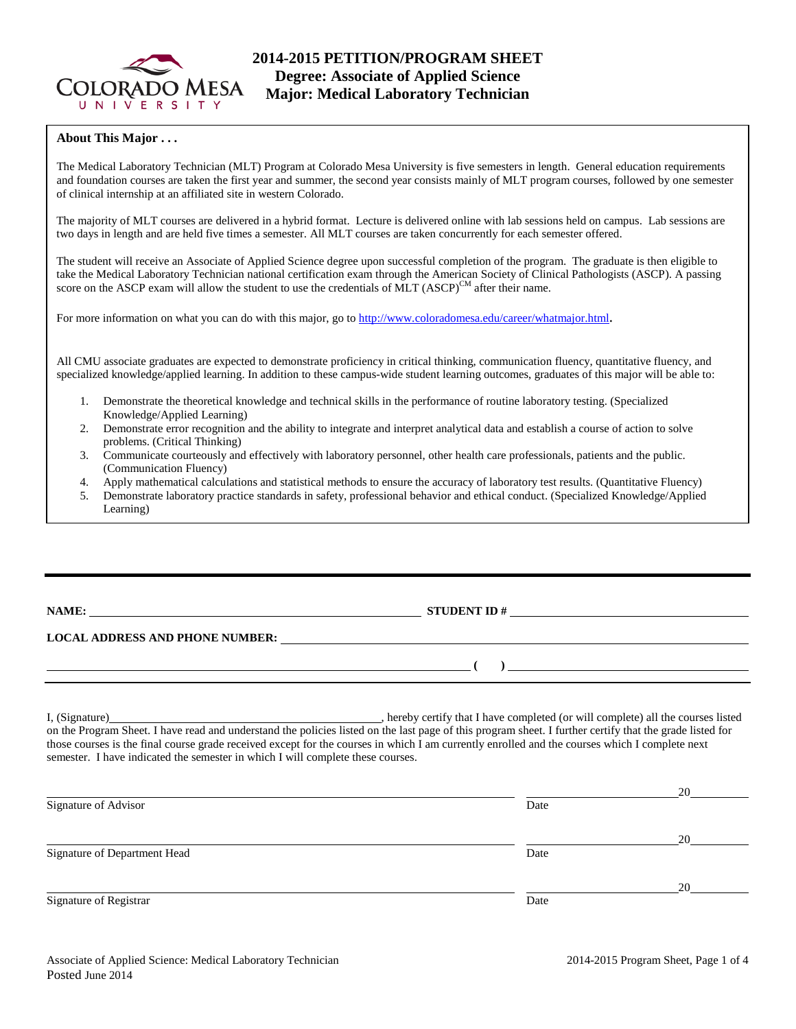

# **2014-2015 PETITION/PROGRAM SHEET Degree: Associate of Applied Science Major: Medical Laboratory Technician**

### **About This Major . . .**

The Medical Laboratory Technician (MLT) Program at Colorado Mesa University is five semesters in length. General education requirements and foundation courses are taken the first year and summer, the second year consists mainly of MLT program courses, followed by one semester of clinical internship at an affiliated site in western Colorado.

The majority of MLT courses are delivered in a hybrid format. Lecture is delivered online with lab sessions held on campus. Lab sessions are two days in length and are held five times a semester. All MLT courses are taken concurrently for each semester offered.

The student will receive an Associate of Applied Science degree upon successful completion of the program. The graduate is then eligible to take the Medical Laboratory Technician national certification exam through the American Society of Clinical Pathologists (ASCP). A passing score on the ASCP exam will allow the student to use the credentials of MLT  $(ASCP)^{CM}$  after their name.

For more information on what you can do with this major, go to [http://www.coloradomesa.edu/career/whatmajor.html.](http://www.coloradomesa.edu/career/whatmajor.html)

All CMU associate graduates are expected to demonstrate proficiency in critical thinking, communication fluency, quantitative fluency, and specialized knowledge/applied learning. In addition to these campus-wide student learning outcomes, graduates of this major will be able to:

- 1. Demonstrate the theoretical knowledge and technical skills in the performance of routine laboratory testing. (Specialized Knowledge/Applied Learning)
- 2. Demonstrate error recognition and the ability to integrate and interpret analytical data and establish a course of action to solve problems. (Critical Thinking)
- 3. Communicate courteously and effectively with laboratory personnel, other health care professionals, patients and the public. (Communication Fluency)
- 4. Apply mathematical calculations and statistical methods to ensure the accuracy of laboratory test results. (Quantitative Fluency)
- 5. Demonstrate laboratory practice standards in safety, professional behavior and ethical conduct. (Specialized Knowledge/Applied Learning)

**NAME: STUDENT ID #** 

# **LOCAL ADDRESS AND PHONE NUMBER:**

I, (Signature) , hereby certify that I have completed (or will complete) all the courses listed on the Program Sheet. I have read and understand the policies listed on the last page of this program sheet. I further certify that the grade listed for those courses is the final course grade received except for the courses in which I am currently enrolled and the courses which I complete next semester. I have indicated the semester in which I will complete these courses.

|                              |      | 20 |
|------------------------------|------|----|
| Signature of Advisor         | Date |    |
|                              |      | 20 |
| Signature of Department Head | Date |    |
|                              |      | 20 |
| Signature of Registrar       | Date |    |

**( )**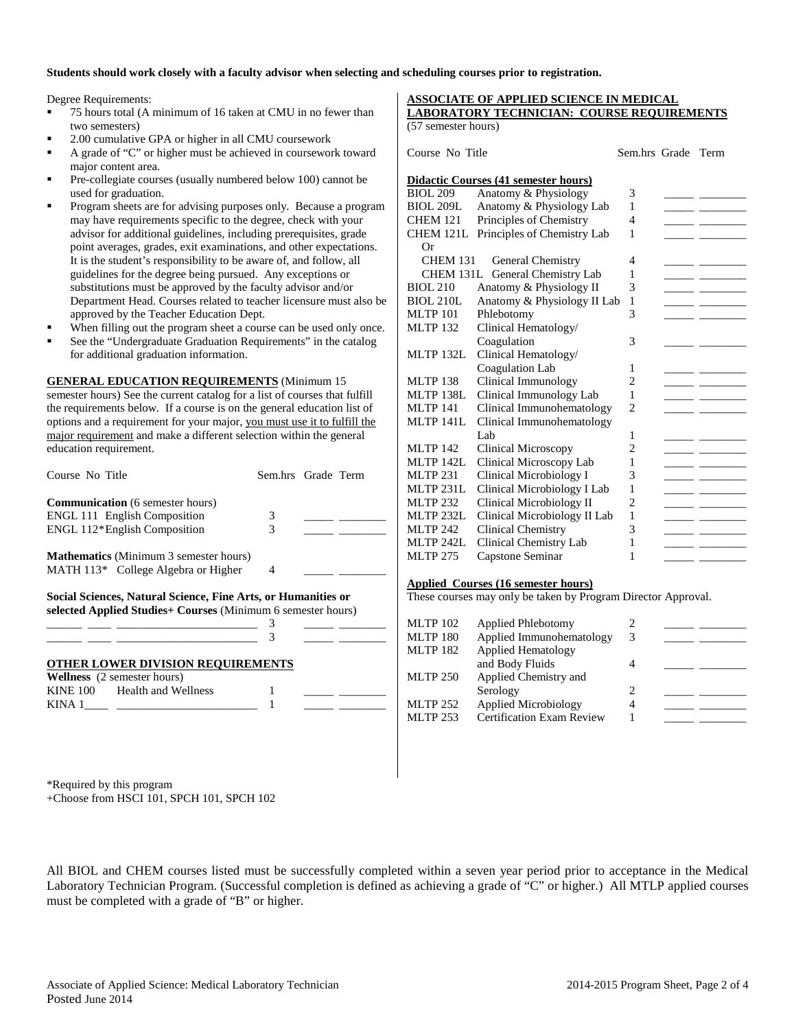### **Students should work closely with a faculty advisor when selecting and scheduling courses prior to registration.**

Degree Requirements:

- 75 hours total (A minimum of 16 taken at CMU in no fewer than two semesters)
- 2.00 cumulative GPA or higher in all CMU coursework
- A grade of "C" or higher must be achieved in coursework toward major content area.
- Pre-collegiate courses (usually numbered below 100) cannot be used for graduation.
- Program sheets are for advising purposes only. Because a program may have requirements specific to the degree, check with your advisor for additional guidelines, including prerequisites, grade point averages, grades, exit examinations, and other expectations. It is the student's responsibility to be aware of, and follow, all guidelines for the degree being pursued. Any exceptions or substitutions must be approved by the faculty advisor and/or Department Head. Courses related to teacher licensure must also be approved by the Teacher Education Dept.
- When filling out the program sheet a course can be used only once.
- See the "Undergraduate Graduation Requirements" in the catalog for additional graduation information.

### **GENERAL EDUCATION REQUIREMENTS** (Minimum 15

semester hours) See the current catalog for a list of courses that fulfill the requirements below. If a course is on the general education list of options and a requirement for your major, you must use it to fulfill the major requirement and make a different selection within the general education requirement.

| Course No Title                                                                                                               | Sem.hrs Grade Term |  |
|-------------------------------------------------------------------------------------------------------------------------------|--------------------|--|
| <b>Communication</b> (6 semester hours)                                                                                       |                    |  |
| <b>ENGL 111 English Composition</b>                                                                                           | 3                  |  |
| ENGL 112*English Composition                                                                                                  | 3                  |  |
| <b>Mathematics</b> (Minimum 3 semester hours)                                                                                 |                    |  |
| MATH 113* College Algebra or Higher                                                                                           | 4                  |  |
| Social Sciences, Natural Science, Fine Arts, or Humanities or<br>selected Applied Studies+ Courses (Minimum 6 semester hours) |                    |  |
|                                                                                                                               | 3                  |  |
| <b>OTHER LOWER DIVISION REQUIREMENTS</b>                                                                                      |                    |  |
| <b>Wellness</b> (2 semester hours)                                                                                            |                    |  |
| KINE 100 Health and Wellness                                                                                                  |                    |  |
| KINA 1                                                                                                                        |                    |  |

#### **ASSOCIATE OF APPLIED SCIENCE IN MEDICAL LABORATORY TECHNICIAN: COURSE REQUIREMENTS** (57 semester hours)

Course No Title Sem.hrs Grade Term

| Didactic Courses (41 semester hours) |                                 |                |  |  |  |
|--------------------------------------|---------------------------------|----------------|--|--|--|
| <b>BIOL 209</b>                      | Anatomy & Physiology            | 3              |  |  |  |
| <b>BIOL 209L</b>                     | Anatomy & Physiology Lab        | 1              |  |  |  |
| <b>CHEM 121</b>                      | Principles of Chemistry         | 4              |  |  |  |
| CHEM 121L                            | Principles of Chemistry Lab     | 1              |  |  |  |
| Or                                   |                                 |                |  |  |  |
| CHEM 131                             | General Chemistry               | 4              |  |  |  |
|                                      | CHEM 131L General Chemistry Lab | 1              |  |  |  |
| <b>BIOL 210</b>                      | Anatomy & Physiology II         | 3              |  |  |  |
| <b>BIOL 210L</b>                     | Anatomy & Physiology II Lab     | 1              |  |  |  |
| <b>MLTP 101</b>                      | Phlebotomy                      | 3              |  |  |  |
| <b>MLTP 132</b>                      | Clinical Hematology/            |                |  |  |  |
|                                      | Coagulation                     | 3              |  |  |  |
| MLTP 132L                            | Clinical Hematology/            |                |  |  |  |
|                                      | Coagulation Lab                 | 1              |  |  |  |
| <b>MLTP 138</b>                      | Clinical Immunology             | 2              |  |  |  |
| <b>MLTP 138L</b>                     | Clinical Immunology Lab         | 1              |  |  |  |
| <b>MLTP 141</b>                      | Clinical Immunohematology       | $\mathfrak{D}$ |  |  |  |
| <b>MLTP 141L</b>                     | Clinical Immunohematology       |                |  |  |  |
|                                      | Lab                             | 1              |  |  |  |
| <b>MLTP 142</b>                      | Clinical Microscopy             | $\overline{2}$ |  |  |  |
| <b>MLTP 142L</b>                     | Clinical Microscopy Lab         | 1              |  |  |  |
| <b>MLTP 231</b>                      | Clinical Microbiology I         | 3              |  |  |  |
| <b>MLTP 231L</b>                     | Clinical Microbiology I Lab     | 1              |  |  |  |
| <b>MLTP 232</b>                      | Clinical Microbiology II        | $\overline{2}$ |  |  |  |
| <b>MLTP 232L</b>                     | Clinical Microbiology II Lab    | 1              |  |  |  |
| <b>MLTP 242</b>                      | <b>Clinical Chemistry</b>       | 3              |  |  |  |
| <b>MLTP 242L</b>                     | Clinical Chemistry Lab          | 1              |  |  |  |
| <b>MLTP 275</b>                      | Capstone Seminar                | 1              |  |  |  |
|                                      |                                 |                |  |  |  |

#### **Applied Courses (16 semester hours)**

These courses may only be taken by Program Director Approval.

\*Required by this program +Choose from HSCI 101, SPCH 101, SPCH 102

All BIOL and CHEM courses listed must be successfully completed within a seven year period prior to acceptance in the Medical Laboratory Technician Program. (Successful completion is defined as achieving a grade of "C" or higher.) All MTLP applied courses must be completed with a grade of "B" or higher.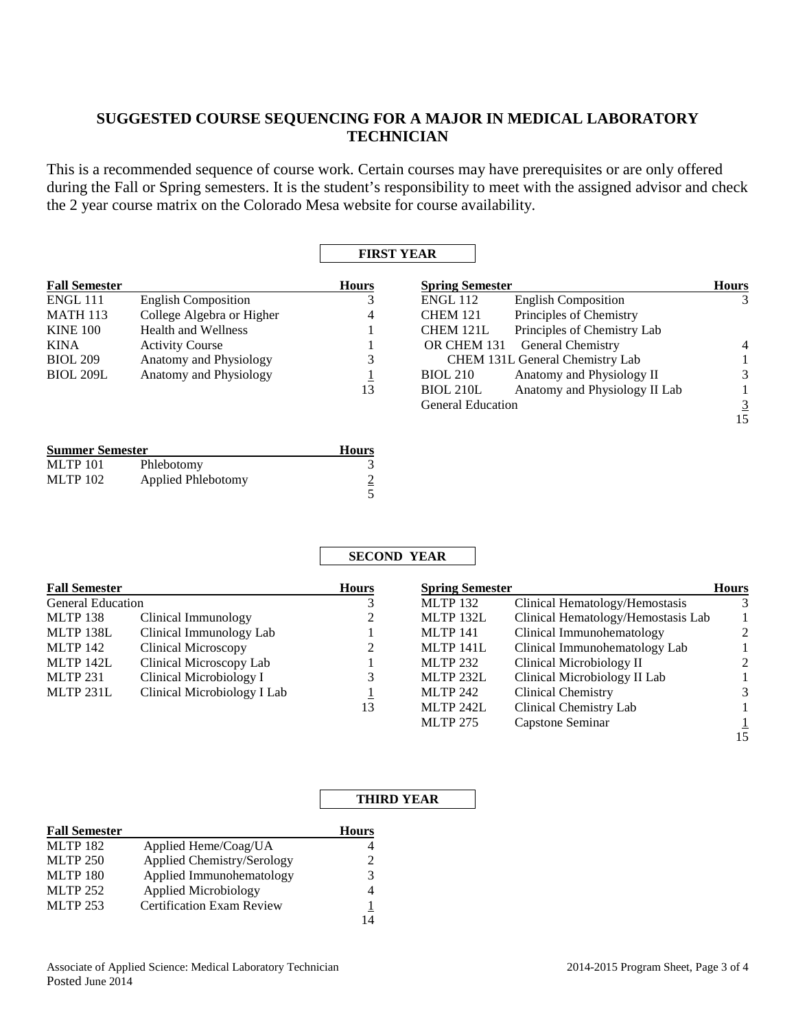# **SUGGESTED COURSE SEQUENCING FOR A MAJOR IN MEDICAL LABORATORY TECHNICIAN**

This is a recommended sequence of course work. Certain courses may have prerequisites or are only offered during the Fall or Spring semesters. It is the student's responsibility to meet with the assigned advisor and check the 2 year course matrix on the Colorado Mesa website for course availability.

# **FIRST YEAR**

| <b>Fall Semester</b> |                            | <b>Hours</b> | <b>Spring Semester</b>   |                                 | <b>Hours</b>   |
|----------------------|----------------------------|--------------|--------------------------|---------------------------------|----------------|
| <b>ENGL 111</b>      | <b>English Composition</b> |              | <b>ENGL 112</b>          | <b>English Composition</b>      | 3              |
| <b>MATH 113</b>      | College Algebra or Higher  | 4            | <b>CHEM 121</b>          | Principles of Chemistry         |                |
| <b>KINE 100</b>      | <b>Health and Wellness</b> |              | CHEM 121L                | Principles of Chemistry Lab     |                |
| KINA                 | <b>Activity Course</b>     |              | OR CHEM 131              | <b>General Chemistry</b>        | $\overline{4}$ |
| <b>BIOL 209</b>      | Anatomy and Physiology     | 3            |                          | CHEM 131L General Chemistry Lab |                |
| <b>BIOL 209L</b>     | Anatomy and Physiology     |              | <b>BIOL 210</b>          | Anatomy and Physiology II       | 3              |
|                      |                            | 13           | <b>BIOL 210L</b>         | Anatomy and Physiology II Lab   |                |
|                      |                            |              | <b>General Education</b> |                                 | $\overline{3}$ |
|                      |                            |              |                          |                                 | 15             |

| <b>Summer Semester</b> | <b>Hours</b>       |  |
|------------------------|--------------------|--|
| <b>MLTP 101</b>        | Phlebotomy         |  |
| <b>MLTP 102</b>        | Applied Phlebotomy |  |
|                        |                    |  |

# **SECOND YEAR**

| <b>Fall Semester</b>     |                             | <b>Hours</b> | <b>Spring Semester</b> |                                    | <b>Hours</b>   |
|--------------------------|-----------------------------|--------------|------------------------|------------------------------------|----------------|
| <b>General Education</b> |                             | 3            | <b>MLTP 132</b>        | Clinical Hematology/Hemostasis     | 3              |
| <b>MLTP 138</b>          | Clinical Immunology         | 2            | MLTP 132L              | Clinical Hematology/Hemostasis Lab |                |
| MLTP 138L                | Clinical Immunology Lab     |              | <b>MLTP 141</b>        | Clinical Immunohematology          | 2              |
| MLTP 142                 | <b>Clinical Microscopy</b>  |              | MLTP 141L              | Clinical Immunohematology Lab      |                |
| MLTP 142L                | Clinical Microscopy Lab     |              | <b>MLTP 232</b>        | Clinical Microbiology II           | $\mathfrak{D}$ |
| <b>MLTP 231</b>          | Clinical Microbiology I     | 3            | MLTP 232L              | Clinical Microbiology II Lab       |                |
| MLTP 231L                | Clinical Microbiology I Lab |              | <b>MLTP 242</b>        | <b>Clinical Chemistry</b>          | 3              |
|                          |                             | 13           | MLTP 242L              | Clinical Chemistry Lab             |                |
|                          |                             |              | <b>MLTP 275</b>        | Capstone Seminar                   |                |
|                          |                             |              |                        |                                    | 15             |

## **THIRD YEAR**

| <b>Fall Semester</b> |                                  | <b>Hours</b>                |
|----------------------|----------------------------------|-----------------------------|
| <b>MLTP 182</b>      | Applied Heme/Coag/UA             |                             |
| <b>MLTP 250</b>      | Applied Chemistry/Serology       | $\mathcal{D}_{\mathcal{L}}$ |
| <b>MLTP 180</b>      | Applied Immunohematology         | 3                           |
| <b>MLTP 252</b>      | <b>Applied Microbiology</b>      | 4                           |
| <b>MLTP 253</b>      | <b>Certification Exam Review</b> |                             |
|                      |                                  |                             |